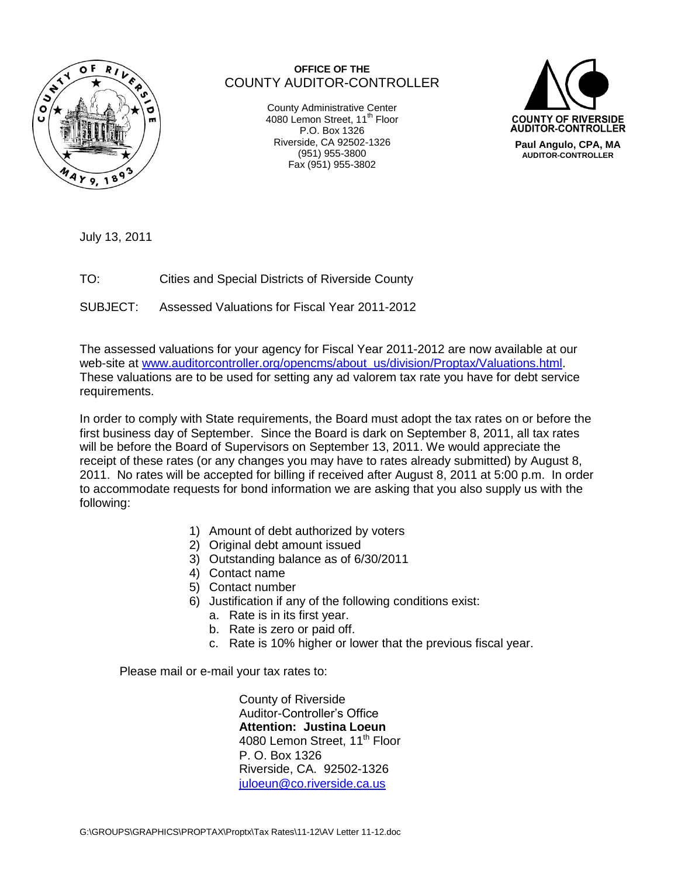

## **OFFICE OF THE** COUNTY AUDITOR-CONTROLLER

County Administrative Center 4080 Lemon Street, 11<sup>th</sup> Floor P.O. Box 1326 Riverside, CA 92502-1326 (951) 955-3800 Fax (951) 955-3802



**Paul Angulo, CPA, MA AUDITOR-CONTROLLER**

July 13, 2011

TO: Cities and Special Districts of Riverside County

SUBJECT: Assessed Valuations for Fiscal Year 2011-2012

The assessed valuations for your agency for Fiscal Year 2011-2012 are now available at our web-site at [www.auditorcontroller.org/opencms/about\\_us/division/Proptax/Valuations.html.](http://www.auditorcontroller.org/opencms/about_us/division/Proptax/Valuations.html) These valuations are to be used for setting any ad valorem tax rate you have for debt service requirements.

In order to comply with State requirements, the Board must adopt the tax rates on or before the first business day of September. Since the Board is dark on September 8, 2011, all tax rates will be before the Board of Supervisors on September 13, 2011. We would appreciate the receipt of these rates (or any changes you may have to rates already submitted) by August 8, 2011. No rates will be accepted for billing if received after August 8, 2011 at 5:00 p.m. In order to accommodate requests for bond information we are asking that you also supply us with the following:

- 1) Amount of debt authorized by voters
- 2) Original debt amount issued
- 3) Outstanding balance as of 6/30/2011
- 4) Contact name
- 5) Contact number
- 6) Justification if any of the following conditions exist:
	- a. Rate is in its first year.
		- b. Rate is zero or paid off.
		- c. Rate is 10% higher or lower that the previous fiscal year.

Please mail or e-mail your tax rates to:

County of Riverside Auditor-Controller's Office **Attention: Justina Loeun**  4080 Lemon Street, 11<sup>th</sup> Floor P. O. Box 1326 Riverside, CA. 92502-1326 iuloeun@co.riverside.ca.us